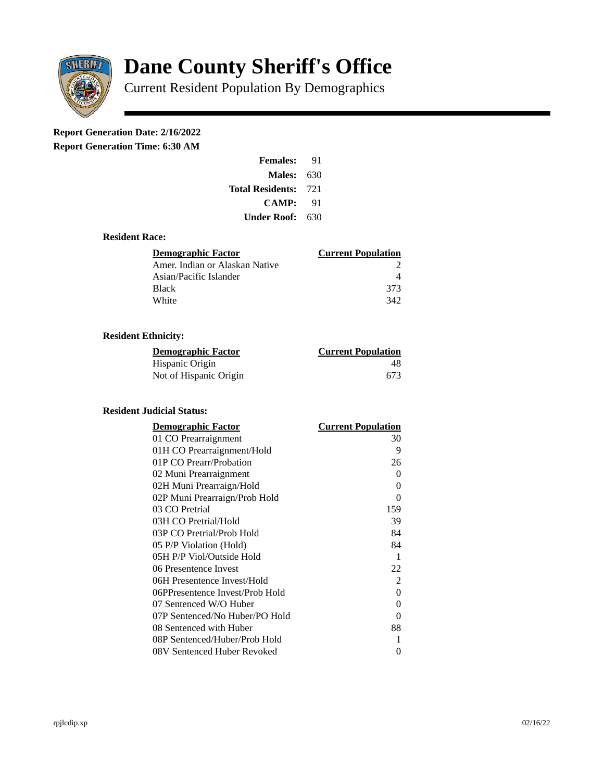

# **Dane County Sheriff's Office**

Current Resident Population By Demographics

# **Report Generation Date: 2/16/2022**

**Report Generation Time: 6:30 AM** 

| <b>Females:</b>         | 91   |
|-------------------------|------|
| Males:                  | 630  |
| <b>Total Residents:</b> | -721 |
| <b>CAMP:</b>            | 91   |
| Under Roof:             | 630  |

#### **Resident Race:**

| Demographic Factor             | <b>Current Population</b> |
|--------------------------------|---------------------------|
| Amer. Indian or Alaskan Native |                           |
| Asian/Pacific Islander         |                           |
| Black                          | 373                       |
| White                          | 342                       |

## **Resident Ethnicity:**

| <u>Demographic Factor</u> | <b>Current Population</b> |
|---------------------------|---------------------------|
| Hispanic Origin           | 48                        |
| Not of Hispanic Origin    | 673                       |

### **Resident Judicial Status:**

| <b>Demographic Factor</b>       | <b>Current Population</b> |
|---------------------------------|---------------------------|
| 01 CO Prearraignment            | 30                        |
| 01H CO Prearraignment/Hold      | 9                         |
| 01P CO Prearr/Probation         | 26                        |
| 02 Muni Prearraignment          | 0                         |
| 02H Muni Prearraign/Hold        | 0                         |
| 02P Muni Prearraign/Prob Hold   | 0                         |
| 03 CO Pretrial                  | 159                       |
| 03H CO Pretrial/Hold            | 39                        |
| 03P CO Pretrial/Prob Hold       | 84                        |
| 05 P/P Violation (Hold)         | 84                        |
| 05H P/P Viol/Outside Hold       | $\mathbf{1}$              |
| 06 Presentence Invest           | 22                        |
| 06H Presentence Invest/Hold     | $\overline{2}$            |
| 06PPresentence Invest/Prob Hold | 0                         |
| 07 Sentenced W/O Huber          | 0                         |
| 07P Sentenced/No Huber/PO Hold  | 0                         |
| 08 Sentenced with Huber         | 88                        |
| 08P Sentenced/Huber/Prob Hold   | 1                         |
| 08V Sentenced Huber Revoked     | 0                         |